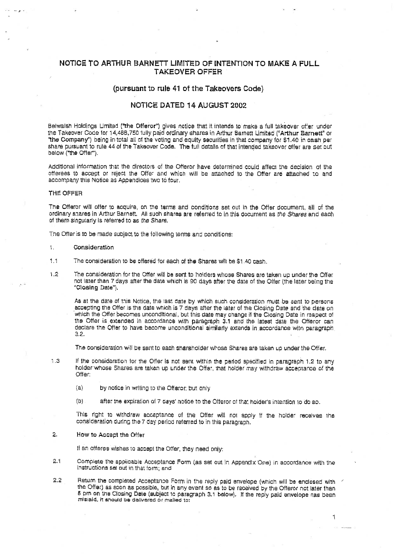# NOTICE TO ARTHUR BARNETT LIMITED OF INTENTION TO MAKE A FULL TAKEOVER OFFER

# (pursuant to rule 41 of the Takeovers Code)

# NOTICE DATED 14 AUGUST 2002

Belwalsh Holdings Limited ("the Offeror") gives notice that it intends to make a full takeover offer under the Takeover Code for 14,4BB,750 tully paid ordinary shares in Arthur Barnett Limited ("Arthur Barnett" or "the Company") being in total all of the voting and equity securities in that company for \$1.40 in cash per share pursuant to rule 44 of the Taksover Code. The full details of thai intended takeover offer ars set out below ("the Offer").

Additional information that the directors of the Offeror have determined could affect the decision of the oflerees to accept or reject the Offe' and which will be aiiached to the Offer are attached 10 and accompany this Notice as Appendices two to four,

### THE OFFER

The Offeror will offer to acquire, on the terms and conditions set out in the Offer document, all of the ordinary shares in Arthur Barnett. All such shares are referred to in this document as the Shares and each of them singularly is referred to as the Share.

The Offer is 10 be-made subject to the following terms and conditions;

### 1. Consideration

- 1.1 The consideration to be offered for eacli of the Shares will be \$1.40 cash.
- l .2 The consideration for the Offer will be sant to holders whose Shares are taken up under the Offer not later than 7 days after the date which is 90 days after the date of the Offer (the later being the "Closing Date"),

As at the date of this Notice, the last date by which such consideration must be sent to persons accepting the Offer is the date which is 7 days after the later of the Closing Date and the date on which the Offer becomes unconditional, but this date may change if the Closing Date in respect of the Offer is extended in accordance with paragraph 3.1 and the latest date the Offeror can declare the Offer to have become unconditional similarly extends in accordance witn paragraph 3.2.

The consideration will be sent to each shareholder whose Shares are taken up under the Offer,

- 1.3 If the consideration for the Offer is not sent within the period specified in paragraph 1,2 to any holder whose Shares are taken up under the Offer, that holder may withdraw acceptance of the Offer:
	- $(a)$  by notice in writing to the Offeror; but only
	- (b) after the expiration of 7 days' notice to the Offeror of that holder's intention to do so.

This right to withdraw acceptance of the Offer will not apply if the holde: receives the consideration during the 7 day period reterred to in this paragraph.

### 2. How to Accept the Offer

If an offeree wishes to accept the Offer, they need only:

- 2.1 Complete the applicable Acceptance Form (as set out in Appendix One) in accordance with the instructions set out in ihat form; and
- 2.2 Return the completed Acceptance Form in the reply paid envelope (which will be enclosed with the Offer) as soon as possible, but in any event so as to be received by the Offeror not later than 5 pm on the Closing Date (subject to paragraph 3.1 below). If the reply paid envelope nas been mislaid, it snould be delivered or mailed to;

 $\rightarrow$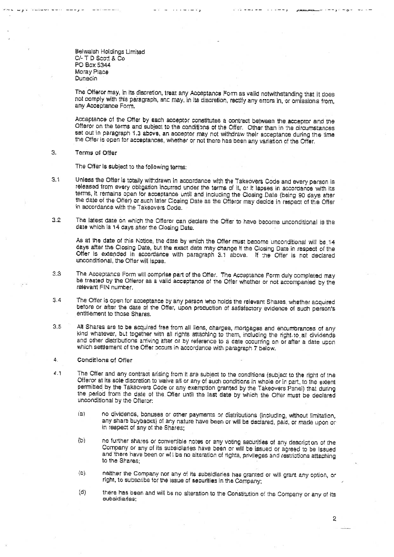Belwalsh Holdings Limited C/- T D Scott & Co PO Box 5344 Moray Place Dunedin

The Offeror may, in its discretion, treat any Acceptance Form as valid notwithstanding that it does not comply with this paragraph, and may, in its discretion, rectify any errors in, or omissions from, any Acceptance Form.

Acceptance of the Offer by each acceptor constitutes a contract between the acceptor and the Offeror on the terms and subject to the conditions of the Offer. Other than in the circumstances set out in paragraph 1.3 above, an acceptor may not withdraw their acceptance during the time the Offer is open for acceptances, whether or not there has been any variation of the Offer.

#### $\overline{a}$ . Terms of Offer

The Offer is subject to the following terms:

- $3.1$ Unless the Offer is totally withdrawn in accordance with the Takeovers Code and every person is released from every obligation incurred under the terms of it, or it lapses in accordance with its terms, it remains open for acceptance until and including the Closing Date (being 90 days after the date of the Offer) or such later Closing Date as the Offeror may decide in respect of the Offer in accordance with the Takeovers Code.
- $3.2$ The latest date on which the Offerer can declare the Offer to have become unconditional is the date which is 14 days after the Closing Date.

As at the date of this Notice, the date by which the Offer must become unconditional will be 14 days after the Closing Date, but the exact date may change if the Closing Date in respect of the Offer is extended in accordance with paragraph 3.1 above. If the Offer is not declared unconditional, the Offer will lapse.

- $3^{\circ}$ The Acceptance Form will comprise part of the Offer. The Acceptance Form duly completed may be treated by the Offeror as a valid acceptance of the Offer whether or not accompanied by the relevant FIN number.
- $5.4$ The Offer is open for acceptance by any person who holds the relevant Shares, whether acquired before or after the date of the Offer, upon production of satisfactory evidence of such person's entitlement to those Shares.
- All Shares are to be acquired free from all liens, charges, mortgages and encumbrances of any  $3.5$ kind whatever, but together with all rights attaching to them, including the right to all dividends and other distributions arriving after or by reference to a date coourring on or after a date upon which settlement of the Offer occurs in accordance with paragraph 7 below.
- $\ddot{a}$ , Conditions of Offer
- $6.1$ The Offer and any contract arising from it are subject to the conditions (subject to the right of the Offeror at its sole discretion to waive all or any of such conditions in whole or in part, to the extent permitted by the Takeovers Code or any exemption granted by the Takeovers Panel) that during the period from the date of the Offer until the last date by which the Offer must be declared unconditional by the Offeror:
	- no dividends, bonuses or other payments or distributions (including, without limitation,  $(a)$ any share buybacks) of any nature have been or will be declared, paid, or made upon or in respect of any of the Shares;
	- וסו. no further shares or convertible notes or any voting securities of any description of the Company or any of its subsidiaries have been or will be issued or agreed to be issued and there have been or will be no alteration of rights, privileges and restrictions attaching to the Shares:
	- neither the Company nor any of its subsidiaries has granted or will grant any option, or  $(c)$ . right, to subscribe for the issue of securities in the Company;
	- $(d)$ there has been and will be no alteration to the Constitution of the Company or any of its subsidiaries;

 $\overline{2}$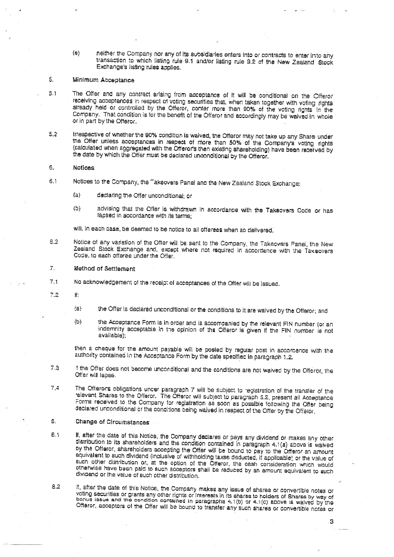neither the Company nor any of its subsidiaries enters into or contracts to enter into any  $(e)$ transaction to which listing rule 9.1 and/or listing rule 9.2 of the New Zealand Stock Exchange's listing rules applies.

#### $\leq$ Minimum Acceptance

- $5.1$ The Offer and any contract arising from acceptance of it will be conditional on the Offeror receiving acceptances in respect of voting securities that, when taken together with voting rights already held or controlled by the Offeror, conter more than 90% of the voting rights in the Company. That condition is for the benefit of the Offeror and accordingly may be waived in whole or in part by the Offeror.
- $5.2$ Irrespective of whether the 90% condition is waived, the Offeror may not take up any Share under the Offer unless acceptances in respect of more than 50% of the Company's voting rights (calculated when appregated with the Offeror's then existing shareholding) have been received by the date by which the Offer must be declared unconditional by the Offeror.

#### $6.$ **Notices**

- $\overline{6}$  1 Notices to the Company, the Takeovers Panel and the New Zealand Stock Exchange:
	- $(a)$ declaring the Offer unconditional: or
	- (Ö) advising that the Offer is withdrawn in accordance with the Takeovers Code or has lapsed in accordance with its terms:

will, in each case, be deemed to be notice to all offerees when so delivered.

- $6.2$ Notice of any variation of the Offer will be sent to the Company, the Takeovers Panel, the New Zealand Stock Exchange and, except where not required in accordance with the Takeovers Code, to each offeree under the Offer.
- $\overline{L}$ **Method of Settlement**
- $7.1$ No acknowledgement of the receipt of acceptances of the Offer will be issued.
- $7.2$  $\mathbf{H}$ 
	- $(a)$ the Offer is declared unconditional or the conditions to it are waived by the Offeror; and
	- $(b)$ the Acceptance Form is in order and is accompanied by the relevant FIN number (or an indemnity acceptable in the opinion of the Offeror is given if the FIN number is not available);

then a cheque for the amount payable will be posted by regular post in accordance with the authority contained in the Acceptance Form by the date specified in paragraph 1.2.

- $7.3$ i the Offer does not become unconditional and the conditions are not waived by the Offeror, the Offer will labse.
- $7.4$ The Offerons obligations uncer paragraph 7 will be subject to registration of the transfer of the elevant Shares to the Offeror. The Offeror will subject to paragraph 5.2, present all Acceptance Forms received to the Company for registration as soon as possible following the Offer being declared unconditional or the conditions being waived in respect of the Offer by the Offeror,
- $\Omega$ Change of Circumstances
- If, after the date of this Notice, the Company declares or pays any dividend or makes any other  $E.1$ distribution to its shareholders and the condition contained in paragraph 4.1(a) above is waived by the Offeror, shareholders accepting the Offer will be bound to pay to the Offeror an amount equivalent to such dividend (inclusive of withholding taxes deducted, if applicable) or the value of such other distribution or, at the option of the Otferor, the cash consideration which would otherwise have been paid to such acceptors shall be reduced by an amount equivalent to such dividend or the value of such other distribution.
- If, after the date of this Notice, the Company makes any issue of shares or convertible notes or  $8.2$ voting securities or grants any other rights or interests in its shares to holders of Shares by way of bonus issue and the condition contained in paragraphs 4.1(b) or 4.1(c) above is walved by the Offeror, acceptors of the Offer will be bound to transfer any such shares or convertible notes or

S.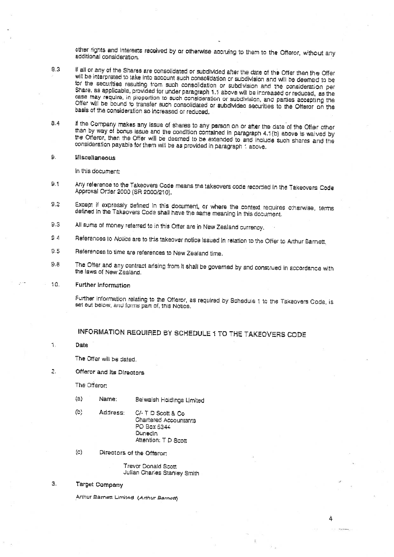other rights and interests received by or otherwise accruing to them to the Offeror, without any additional consideration.

- If all or any of the Shares are consolidated or subdivided after the date of the Offer then the Offer  $8.3$ will be interpreted to take into account such consolidation or subdivision and will be deemed to be for the securities resulting from such consolidation or subdivision and the consideration per Share, as applicable, provided for under paragraph 1.1 above will be increased or reduced, as the case may require, in proportion to such consideration or subdivision, and parties accepting the Offer will be bound to transfer such consolidated or subdivided securities to the Offeror on the basis of the consideration so increased or reduced.
- If the Company makes any issue of shares to any person on or after the date of the Offer other  $8.4$ than by way of bonus issue and the condition contained in paragraph 4.1(b) above is waived by the Offeror, then the Offer will be deemed to be extended to and include such shares and the consideration payable for them will be as provided in paragraph: above,
- $\Omega$ **Miscellaneous**

In this document:

- $9.1$ Any reference to the Takeovers Code means the takeovers code recorded in the Takeovers Code Approval Order 2000 (SR 2000/210).
- Except if expressly defined in this document, or where the context requires otherwise, terms  $2.2$ defined in the Takeovers Code shall have the same meaning in this document.
- $9.3$ All sums of money referred to in this Offer are in New Zealand currency.
- $S$  4 References to Notice are to this takeover notice issued in relation to the Offer to Arthur Barnett.
- $9.5$ References to time are references to New Zealand time.
- The Ofter and any contract arising from it shall be governed by and construed in accordance with  $9.8$ the laws of New Zealand.

#### 10. **Further Information**

Further information relating to the Offeror, as required by Schedule 1 to the Takeovers Code, is set out below, and forms part of, this Notice.

# INFORMATION REQUIRED BY SCHEDULE 1 TO THE TAKEOVERS CODE

#### 1. **Date**

The Offer will be dated.

2. Offeror and its Directors

The Offeron

- $(a)$ Name: Belwalsh Holdings Limited
- $(b)$ Address: C/- T D Scott & Co **Chartered Accountants** PO Bax 5344 **Dunedin** Attention: T.D.Scott
- $(C)$ Directors of the Offeror:

Trevor Donald Scott Julian Charles Stanley Smith

### $\mathbb{R}$ Target Company

Anhur Barnett Limited (Arthur Barnott)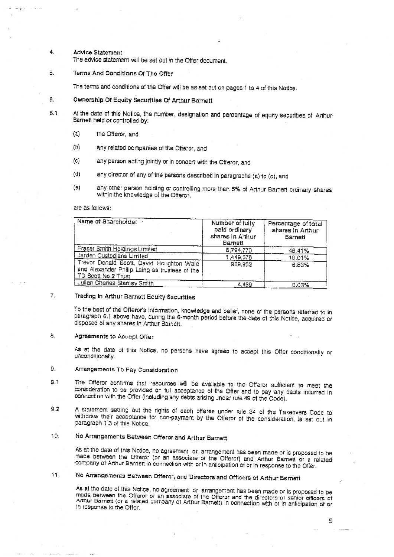#### **Advice Statement** 4

The advice statement will be set out in the Offer document.

Terms And Conditions Of The Offer  $\overline{5}$ .

The terms and conditions of the Offer will be as set out on pages 1 to 4 of this Notice.

- 6. Ownership Of Equity Securities Of Arthur Barnett
- At the date of this Notice, the number, designation and percentage of equity securities of Arthur- $6.1$ Barnett held or controlled by:
	- $(a)$ the Offeror, and
	- $(b)$ any related companies of the Offeror, and
	- $(c)$ any person acting jointly or in concert with the Offeror, and
	- any director of any of the persons described in paragraphs (a) to (c), and  $(d)$
	- any other person holding or controlling more than 5% of Arthur Barnett ordinary shares  $(e)$ within the knowledge of the Offeror,

are as follows:

| Name of Shareholder                                                                                              | Number of fully<br>paid ordinary<br>shares in Anhur<br>Barnett | Percentage of total<br>shares in Arthur<br>Barnett |
|------------------------------------------------------------------------------------------------------------------|----------------------------------------------------------------|----------------------------------------------------|
| Fraser Smith Holdings Limited                                                                                    | 6,724,770                                                      | 46,41%                                             |
| Jarden Custodians Limited                                                                                        | 1,449,678                                                      | 10.01%                                             |
| Trevor Donald Scott, David Houghton Wale<br>and Alexander Philip Laing as trustees of the<br>TD Scott No.2 Trust | 989,952                                                        | 6.83%                                              |
| <b>Julian Charles Stanley Smith</b>                                                                              | 4.489                                                          | 0.03%                                              |

#### $\overline{7}$ Trading In Arthur Barnett Equity Securities

To the best of the Offeror's information, knowledge and belief, none of the persons referred to in paragraph 6.1 above have, during the 6-month period before the date of this Notice, acquired or disposed of any shares in Arthur Barnett.

#### $\mathbf{\hat{a}}$ . Agreements to Accept Offer

As at the date of this Notice, no persons have agreed to accept this Offer conditionally or unconditionally.

### $\mathbf{S}_{\mathrm{r}}$ Arrangements To Pay Consideration

- The Offeror confirms that resources will be available to the Offeror sufficient to meet the  $9.1$ consideration to be provided on full acceptance of the Offer and to pay any dests incurred in connection with the Offer (including any debts arising under rule 49 of the Code).
- A statement setting out the rights of each offeree under rule 34 of the Takeovers Code to  $9.2$ withdraw their acceptance for non-payment by the Offeror of the consideration, is set out in paragraph 1.3 of this Notice.

### No Arrangements Between Offeror and Arthur Barnett 50.

As at the date of this Notice, no agreement or arrangement has been made or is proposed to be made between the Offeror (or an associate of the Offeror) and Arthur Barnett or a related company of Annur Barnett in connection with or in anticipation of or in response to the Offer.

### 11. No Arrangements Between Offeror, and Directors and Officers of Arthur Barnett

As at the date of this Notice, no agreement or arrangement has been made or is proposed to be made between the Offeror or an associate of the Offeror and the directors or senior officers of<br>Arthur Barnett (or a related company of Arthur Barnett) in connection with or in anticipation of or In response to the Offer.

5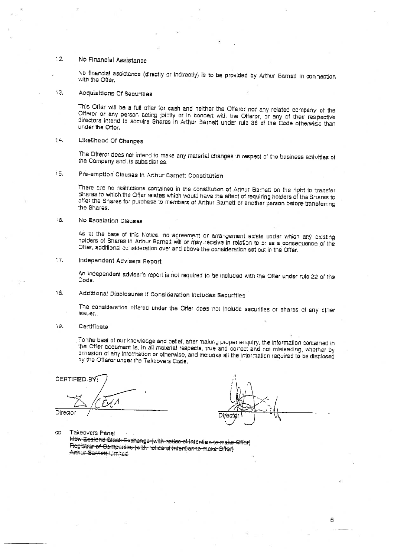### 12 No Financial Assistance

No financial assistance (directly or Indirectly) is to be provided by Arthur Barnett in connection with the Offer.

### 13. Acquisitions Of Securities

This Offer will be a full offer for cash and neither the Offeror nor any related company of the Offeror or any person acting jointly or In concert with the Offeror, or any of their respective directors intend to acquire Shares in Arthur Barnett under rule 36 of the Code otherwise than under the Offer.

#### $\uparrow$  . Likelihood Of Changes

The Offeror does not intend to make any material changes in respect of the business activities of the Company and its subsidiaries.

### 15. Pre-emption Clauses In Arthur Barnett Constitution

There are no restrictions contained in the constitution of Arlnur Barnett on the right to transfer Shares to which the Offer relates which would have the effect of requiring holders of the Shares to offer the Shares for purchase to members of Arthur Barnett or another person before transferring the Shares.

#### 16. No Escalation Clauses

As at the date of this Notice, no agreement or arrangement exists under which any existing holders of Shares in Arthur Barnett will be may receive in relation to or as a consequence of the Offer, additional consideration over and above the consideration set out in the Offer.

### Independent Advisers Report  $17.$

An independent adviser's report is not required to be included with the Offer under rule 22 of the Code.

### 18. Additional Disclosures If Consideration Includes Securities

The consideration offered under the Offer does not include securities or shares of any other *iSSLIE* 

#### 19. Certificate

To the best of our knowledge and belief, after making proper enquiry, the information contained in the Offer cocument is, in all material respects, true and correct and not misleading, whether by dmission of any information or otherwise, and includes all the information required to be disclosed by the Offeror under the Taksovers Code,

CERTIFIED BY: ا/ /ساسح

Director

Direc

Takeovers Panel  $_{\rm CO}$ 

New Zealand Stock-Exchange (with notice of intention to make Offer) Registrar of Compenies (with indice of intention 16 make Offer) Arbur Samett Limited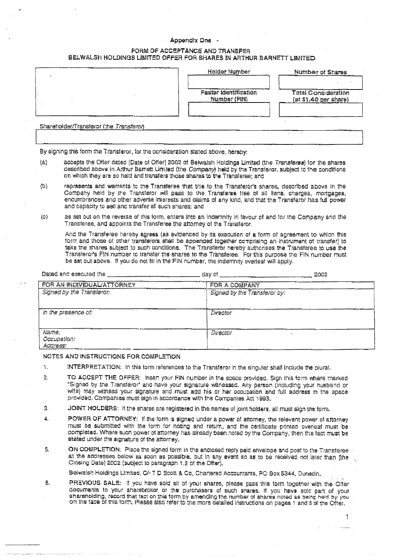# Appendix One -

# FORM OF ACCEPTANCE AND TRANSFER BELWALSH HOLDINGS LIMITED OFFER FOR SHARES IN ARTHUR BARNETT LIMITED

|                                         | Holder Number                                | Number of Shares                                    |
|-----------------------------------------|----------------------------------------------|-----------------------------------------------------|
|                                         | <b>Faster Identification</b><br>Number (FIN) | <b>Total Consideration</b><br>(at \$1.40 per share) |
| Shareholder/Transleror (the Transferor) |                                              |                                                     |

By signing this form the Transferor, for the consideration stated above, hereby:

- accepts the Offer dated (Date of Offer) 2002 of Belwaish Holdings Limited (the Transferee) for the shares  $(a)$ described above in Arthur Barnet: Limited (the Company) held by the Transferor, subject to the conditions on which they are so held and transfers those shares to the Transferee; and
- $(b)$ represents and warrants to the Transferee that title to the Transferor's shares, described above in the Company held by the Transferor will pass to the Transferee free of all liens, charges. mortgages. encumbrances and other adverse interests and claims of any kind, and that the Transferor has full power and capacity to sell and transfer all such shares; and
- as set out on the reverse of this form, enters into an indemnity in favour of and for the Company and the  $\{c\}$ Transferee, and appoints the Transferee the attorney of the Transferor.

And the Transferee hereby agrees (as evidenced by its execution of a form of agreement to which this form and those of other transferors shall be appended together comprising an instrument of transfer) to take the shares subject to such conditions. The Transferor hereby authorises the Transferee to use the Transferon's FIN number to transfer the shares to the Transferee. For this purpose the FIN number must be set out above. If you do not fill in the FIN number, the indemnity overleaf will apply.

| Dated and executed the           | day of                       | 2002 |
|----------------------------------|------------------------------|------|
| FOR AN INDIVIDUAL/ATTORNEY       | FOR A COMPANY                |      |
| Signed by the Transferor:        | Signed by the Transferor by: |      |
| in the presence of:              | Director                     |      |
| Name:<br>Occupation:<br>Address: | Director                     |      |

### NOTES AND INSTRUCTIONS FOR COMPLETION

- $\tilde{\mathbf{L}}$ INTERPRETATION: In this form references to the Transferor in the singular shall include the plural.
- TO ACCEPT THE OFFER: Insert your FIN number in the space provided. Sign this form where marked  $\mathbf{2}$ "Signed by the Transferor" and have your signature witnessed. Any person (including your husband or wife) may witness your signature and must add his or her occupation and full address in the space provided. Companies must sign in accordance with the Companies Act 1993.
- JOINT HOLDERS: If the shares are registered in the names of joint holders, all must sign the form. 3,
- $\pmb{\Lambda}$ POWER OF ATTORNEY: If the form is signed under a power of attorney, the relevant power of attorney must be submitted with the form for noting and return, and the certificate printed overleaf must be completed. Where such power of attorney has already been noted by the Company, then this fact must be stated under the signature of the attorney.
- ON COMPLETION: Place the signed form in the enclosed reply paid envelope and post to the Transferee 5. at the addresses below as soon as possible, but in any event so as to be received not later than fine Closing Date] 2002 (subject to paragraph 1.2 of the Offer).

Belwalsh Holdings Limited, C/- T D Scott & Co, Chartered Accountants, PC Box 5344, Dunedin,

PREVIOUS SALE: If you have sold all of your shares, please pass this form together with the Offer 6. documents to your sharebroker or the purchasers of such snares. If you have sold part of your shareholding, record that fact on this form by amending the number of shares noted as being held by you on the face of this form, Please also refer to the more detailed instructions on pages 1 and 5 of the Offer.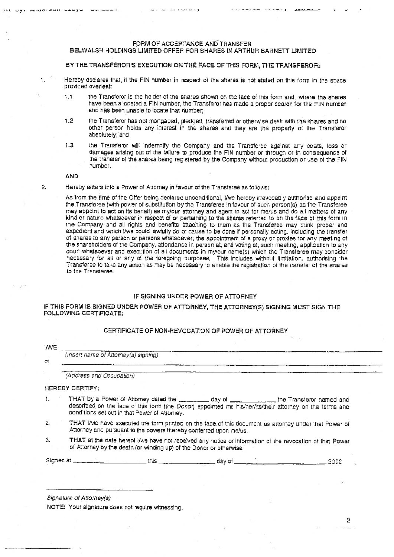# FORM OF ACCEPTANCE AND TRANSFER

# BELWALSH HOLDINGS LIMITED OFFER FOR SHARES IN ARTHUR BARNETT LIMITED

BY THE TRANSFEROR'S EXECUTION ON THE FACE OF THIS FORM, THE TRANSFEROR:

Hereby declares that, if the FIN number in respect of the shares is not stated on this form in the space provided overleaf:

- $1.1$ the Transferor is the holder of the shares shown on the face of this form and, where the shares have been allocated a FIN number, the Transferor has made a proper search for the FIN number and has been unable to locate that number;
- $1.2$ the Transferor has not mortgaged, gledged, transferred or otherwise dealt with the shares and no other person holds any interest in the shares and they are the property of the Transferor absolutely; and
- the Transferor will indemnify the Company and the Transferee against any costs, loss or  $1.3$ damages arising out of the failure to produce the FIN number or through or in consequence of the transfer of the shares being registered by the Company without production or use of the FIN number.

**AND** 

Anudi avit Livyu

 $\blacksquare$ 

 $2.$ 

Hereby enters into a Power of Attorney in favour of the Transferee as follows:

As from the time of the Offer being declared unconditional, I/we hereby irrevocably authorise and appoint the Transieree (with power of substitution by the Transieree in favour of such person(s) as the Transferee may appoint to act on its behalf) as my/our attorney and agent to act for me/us and do all matters of any kind or nature whatsoever in respect of or partaining to the shares referred to on the face of this form in the Company and all rights and benefits attaching to them as the Transferee may think proper and expedient and which I/we could lawfully do or cause to be done if personally acting, including the transfer of shares to any person or persons whatsoever, the appointment of a proxy or proxies for any meeting of the shareholders of the Company, attendance in person at, and voting at, such meeting, application to any court whatsoever and execution of all documents in my/our name(s) which the Transferee may consider necessary for all or any of the foregoing purposes. This includes without limitation, authorising the Transferee to take any action as may be necessary to enable the registration of the transfer of the snares to the Transferee.

# IF SIGNING UNDER POWER OF ATTORNEY

# IF THIS FORM IS SIGNED UNDER POWER OF ATTORNEY, THE ATTORNEY(S) SIGNING MUST SIGN THE FOLLOWING CERTIFICATE:

# CERTIFICATE OF NON-REVOCATION OF POWER OF ATTORNEY

| <b>IWE</b> |                                                                                                                                                                                                                                      |       |
|------------|--------------------------------------------------------------------------------------------------------------------------------------------------------------------------------------------------------------------------------------|-------|
|            | (Insert name of Attorney(s) signing)                                                                                                                                                                                                 |       |
|            |                                                                                                                                                                                                                                      |       |
|            | (Address and Occupation)                                                                                                                                                                                                             |       |
|            | HEREBY CERTIFY:                                                                                                                                                                                                                      |       |
|            | THAT by a Power of Attorney dated the subsequence of day of subsequence the Transferor named and                                                                                                                                     |       |
|            | described on the face of this form (the Donor) appointed me his/her/its/their attorney on the terms and<br>conditions set out in that Power of Attorney.                                                                             |       |
|            | THAT I/we have executed the form printed on the face of this document as attorney under that Power of<br>Attorney and pursuant to the powers thereby conferred upon me/us.                                                           |       |
|            | THAT at the date hereof I/we have not received any notice or information of the revocation of that Power<br>of Attorney by the death (or winding up) of the Donor or otherwise,                                                      |       |
|            | Signed at <u>Committee Committee Committee that the second committee of the second committee of the second committee of the second committee of the second committee of the second committee of the second committee of the seco</u> | .2002 |

Signature of Attorney(s)

NOTE: Your signature does not require witnessing.

 $\mathbf{2}$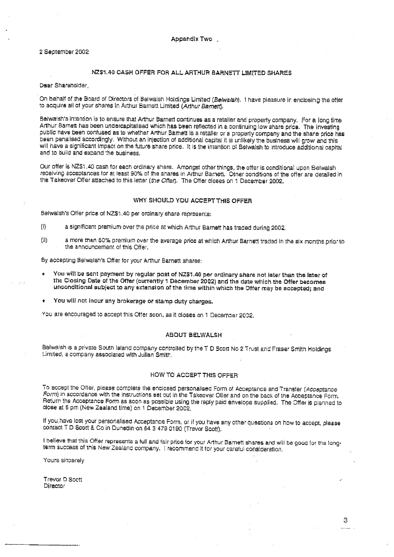### 2 September 2002

# NZ\$1.40 CASH OFFER FOR ALL ARTHUR BARNETT LIMITED SHARES

Dear Shareholder.

On behalf of the Board of Directors of Belwalsh Holdings Limited (Belwalsh). I have pleasure in enclosing the offer to acquire all of your shares in Arthur Barnett Limited (Arthur Barnett).

Belwalsh's intention is to ensure that Arthur Barnett continues as a retailer and property company. For a long time Arthur Barnett has been undercapitalised which has been reflected in a continuing low share price. The investing public have been confused as to whether Arthur Barnett is a retailer or a property company and the share price has been penalised accordingly. Without an injection of additional capital it is unlikely the business will grow and this will have a significant impact on the future share price. It is the intention of Belwalsh to introduce additional capital and to build and expand the business.

Our offer is NZ\$1.40 cash for each ordinary share. Amongst other things, the offer is conditional upon Belwalsh receiving acceptances for at least 90% of the shares in Arthur Barnett. Other conditions of the offer are detailed in the Takeover Offer attached to this letter (the Offer). The Offer closes on 1 December 2002.

# WHY SHOULD YOU ACCEPT THIS OFFER

Belwalsh's Offer price of NZ\$1.40 per ordinary share represents:

- a significant premium over the price at which Arthur Barnett has traded during 2002.  $\{i\}$
- $(ii)$ a more than 60% premium over the average price at which Arthur Barnett traded in the six months prior to the announcement of this Offer.

By accepting Belwalsh's Offer for your Arthur Barnett shares:

- You will be sent payment by regular post of NZ\$1.40 per ordinary share not later than the later of the Closing Date of the Offer (currently 1 December 2002) and the date which the Offer becomes unconditional subject to any extension of the time within which the Offer may be accepted; and
- You will not incur any brokerage or stamp duty charges.

You are encouraged to accept this Offer soon, as it closes on 1 December 2002.

### **ABOUT BELWALSH**

Belwaish is a private South Island company controlled by the T D Scott No 2 Trust and Fraser Smith Holdings Limited, a company associated with Julian Smith.

# HOW TO ACCEPT THIS OFFER

To accept the Offer, please complete the enclosed personalised Form of Acceptance and Transfer (Acceptance Form) in accordance with the instructions set out in the Takeover Offer and on the back of the Acceptance Form. Return the Acceptance Form as soon as possible using the reply paid envelope supplied. The Offer is planned to close at 5 pm (New Zealand time) on 1 December 2002,

If you have lost your personalised Acceptance Form, or if you have any other questions on how to accept, please contact T D Scott & Co in Dunedin on 64 3 479 0190 (Trever Scott).

I believe that this Offer represents a full and fair price for your Arthur Barnett shares and will be good for the longterm success of this New Zealand company. I recommend it for your careful consideration.

Yours sincerely

Trevor D Scott **Director**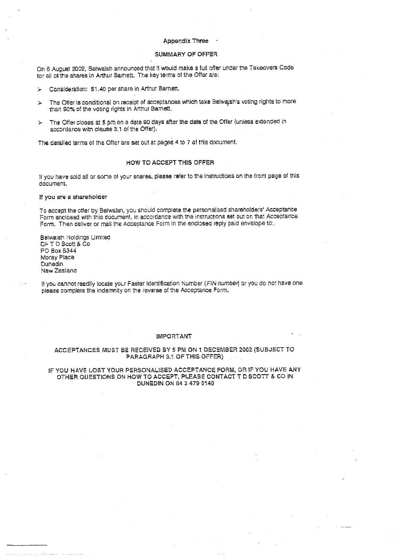### **Appendix Three**

# SUMMARY OF OFFER

On 8 August 2002, Belwalsh announced that it would make a full offer under the Takeovers Code for all of the shares in Arthur Barnett. The key terms of the Offer are:

Consideration: \$1.40 per share in Arthur Barnett. ÷.

- The Offer is conditional on receipt of acceptances which take Belwash's voting rights to more  $\sim$ than 90% of the voting rights in Arthur Barnett.
- The Offer closes at 5 pm on a date 90 days after the date of the Offer (unless extended in v. accordance with clause 3.1 of the Offer).

The detailed terms of the Offer are set out at pages 4 to 7 of this document.

# HOW TO ACCEPT THIS OFFER

If you have sold all or some of your snares, please refer to the instructions on the from page of this document.

### If you are a shareholder

To accept the offer by Belwalsn, you should complete the personalised shareholders' Acceptance Form enclosed with this document, in accordance with the instructions set out on that Acceptance Form. Then deliver or mail the Acceptance Form in the enclosed reply paid envelope to:

Betwalsh Holdings Limited C/- T D Scott & Co PO Box 5344 Moray Place Dunedin New Zealand

If you cannot readily locate your Faster Identification Number (FIN number) or you do not have one please complete the indemnity on the reverse of the Acceptance Form.

### **IMPORTANT**

### ACCEPTANCES MUST BE RECEIVED BY 5 PM ON 1 DECEMBER 2002 (SUBJECT TO PARAGRAPH 3.1 OF THIS OFFER)

## IF YOU HAVE LOST YOUR PERSONALISED ACCEPTANCE FORM, OR IF YOU HAVE ANY OTHER QUESTIONS ON HOW TO ACCEPT, PLEASE CONTACT TID SCOTT & CD IN DUNEDIN ON 64 3 479 0140